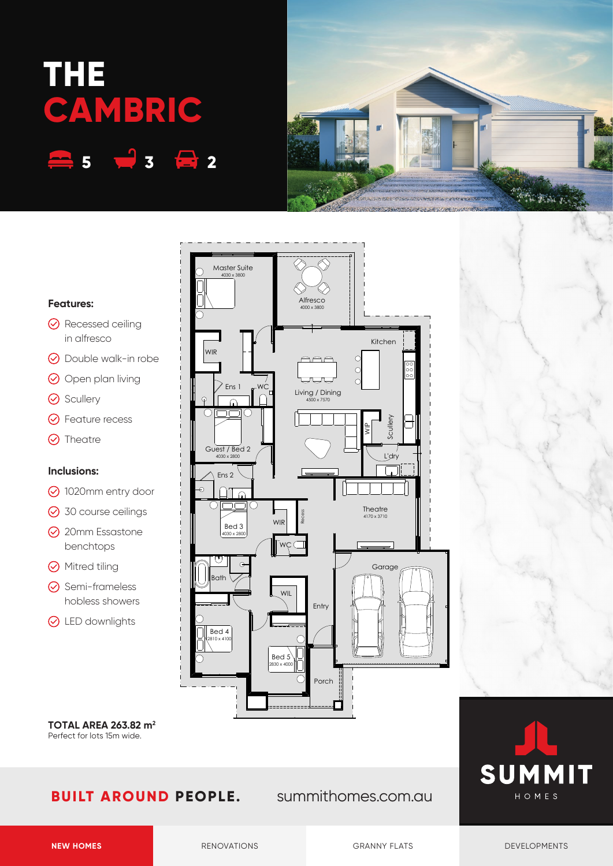# **THE CAMBRIC 5 3 2**

**Features:**

**⊙** Scullery

**O** Theatre

**Inclusions:**

in alfresco

**⊙** Feature recess

benchtops

**⊙** Semi-frameless hobless showers

**⊙** LED downlights

**⊙** Mitred tiling



#### 4030 x 3800 **Alfresco** 4000 x 380 **⊙** Recessed ceiling WIR **⊙** Double walk-in robe  $AAA$  $\odot$  Open plan living Ens $\overline{a}$ WC Living / Dining 4500 x 7570 Guest / Bed 2 4030 x 2800 Ens 2 1020mm entry door  $\cap$ **⊙** 30 course ceilings sseceRWIR Bed 3 **⊙** 20mm Essastone 4030 x 2800

Master Suite



**TOTAL AREA 263.82 m2** Perfect for lots 15m wide.

# **BUILT AROUND PEOPLE.** summithomes.com.au



Kitchen

 $\frac{C}{C}$ 

 $\epsilon$